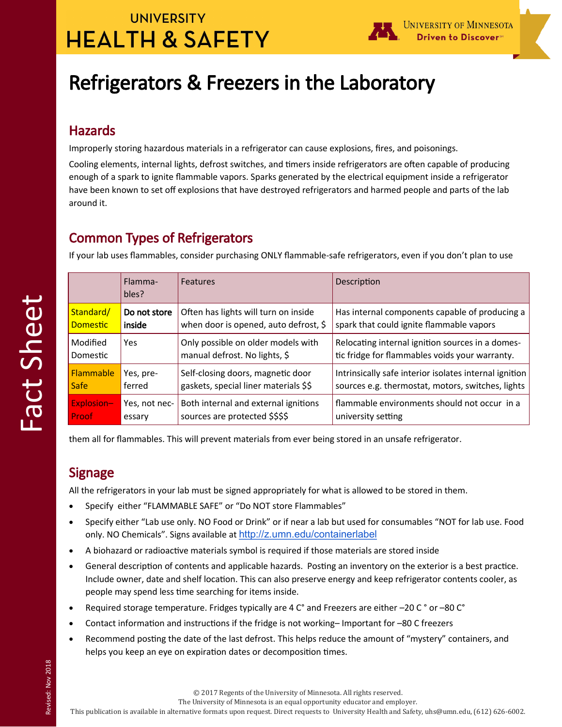## **UNIVERSITY HEALTH & SAFETY**



# Refrigerators & Freezers in the Laboratory

#### Hazards

Improperly storing hazardous materials in a refrigerator can cause explosions, fires, and poisonings.

Cooling elements, internal lights, defrost switches, and timers inside refrigerators are often capable of producing enough of a spark to ignite flammable vapors. Sparks generated by the electrical equipment inside a refrigerator have been known to set off explosions that have destroyed refrigerators and harmed people and parts of the lab around it.

### Common Types of Refrigerators

If your lab uses flammables, consider purchasing ONLY flammable-safe refrigerators, even if you don't plan to use

|                 | Flamma-<br>bles? | <b>Features</b>                       | Description                                            |
|-----------------|------------------|---------------------------------------|--------------------------------------------------------|
| Standard/       | Do not store     | Often has lights will turn on inside  | Has internal components capable of producing a         |
| <b>Domestic</b> | inside           | when door is opened, auto defrost, \$ | spark that could ignite flammable vapors               |
| Modified        | Yes              | Only possible on older models with    | Relocating internal ignition sources in a domes-       |
| Domestic        |                  | manual defrost. No lights, \$         | tic fridge for flammables voids your warranty.         |
| Flammable       | Yes, pre-        | Self-closing doors, magnetic door     | Intrinsically safe interior isolates internal ignition |
| <b>Safe</b>     | ferred           | gaskets, special liner materials \$\$ | sources e.g. thermostat, motors, switches, lights      |
| Explosion-      | Yes, not nec-    | Both internal and external ignitions  | flammable environments should not occur in a           |
| Proof           | essary           | sources are protected \$\$\$\$        | university setting                                     |

them all for flammables. This will prevent materials from ever being stored in an unsafe refrigerator.

### Signage

Fact Sheet

All the refrigerators in your lab must be signed appropriately for what is allowed to be stored in them.

- Specify either "FLAMMABLE SAFE" or "Do NOT store Flammables"
- Specify either "Lab use only. NO Food or Drink" or if near a lab but used for consumables "NOT for lab use. Food only. NO Chemicals". Signs available at <http://z.umn.edu/containerlabel>
- A biohazard or radioactive materials symbol is required if those materials are stored inside
- General description of contents and applicable hazards. Posting an inventory on the exterior is a best practice. Include owner, date and shelf location. This can also preserve energy and keep refrigerator contents cooler, as people may spend less time searching for items inside.
- Required storage temperature. Fridges typically are 4 C° and Freezers are either –20 C ° or –80 C°
- Contact information and instructions if the fridge is not working– Important for –80 C freezers
- Recommend posting the date of the last defrost. This helps reduce the amount of "mystery" containers, and helps you keep an eye on expiration dates or decomposition times.

© 2017 Regents of the University of Minnesota. All rights reserved.

The University of Minnesota is an equal opportunity educator and employer.

This publication is available in alternative formats upon request. Direct requests to University Health and Safety, uhs@umn.edu, (612) 626-6002.